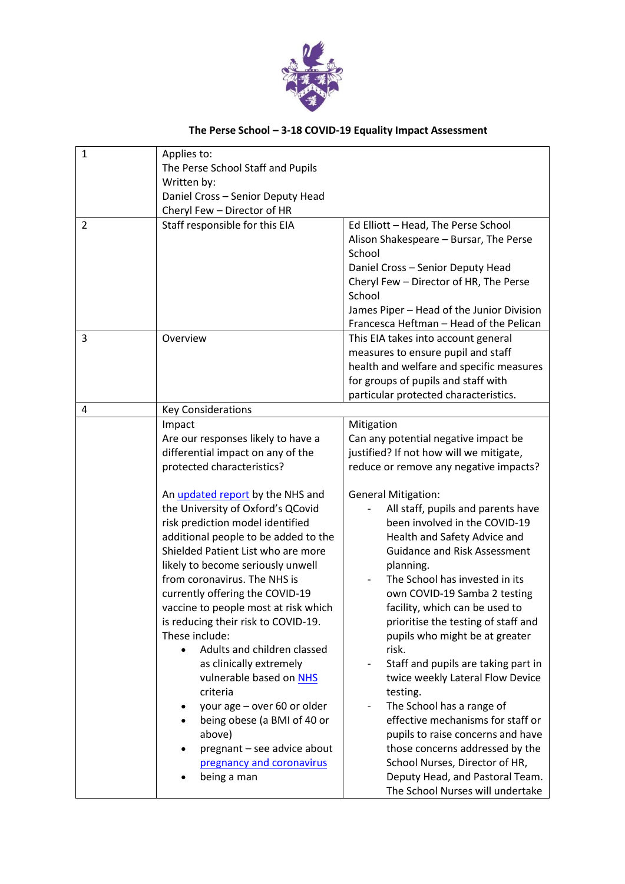

## **The Perse School – 3-18 COVID-19 Equality Impact Assessment**

| $\mathbf{1}$   | Applies to:<br>The Perse School Staff and Pupils                                                                                                                                                                                                                                                                                                                                                                                                                                                                                                                                                                                                                                                                                        |                                                                                                                                                                                                                                                                                                                                                                                                                                                                                                                                                                                                                                                                                                                                                                              |
|----------------|-----------------------------------------------------------------------------------------------------------------------------------------------------------------------------------------------------------------------------------------------------------------------------------------------------------------------------------------------------------------------------------------------------------------------------------------------------------------------------------------------------------------------------------------------------------------------------------------------------------------------------------------------------------------------------------------------------------------------------------------|------------------------------------------------------------------------------------------------------------------------------------------------------------------------------------------------------------------------------------------------------------------------------------------------------------------------------------------------------------------------------------------------------------------------------------------------------------------------------------------------------------------------------------------------------------------------------------------------------------------------------------------------------------------------------------------------------------------------------------------------------------------------------|
|                | Written by:<br>Daniel Cross - Senior Deputy Head<br>Cheryl Few - Director of HR                                                                                                                                                                                                                                                                                                                                                                                                                                                                                                                                                                                                                                                         |                                                                                                                                                                                                                                                                                                                                                                                                                                                                                                                                                                                                                                                                                                                                                                              |
| $\overline{2}$ | Staff responsible for this EIA                                                                                                                                                                                                                                                                                                                                                                                                                                                                                                                                                                                                                                                                                                          | Ed Elliott - Head, The Perse School<br>Alison Shakespeare - Bursar, The Perse<br>School<br>Daniel Cross - Senior Deputy Head<br>Cheryl Few - Director of HR, The Perse<br>School<br>James Piper - Head of the Junior Division<br>Francesca Heftman - Head of the Pelican                                                                                                                                                                                                                                                                                                                                                                                                                                                                                                     |
| 3              | Overview                                                                                                                                                                                                                                                                                                                                                                                                                                                                                                                                                                                                                                                                                                                                | This EIA takes into account general<br>measures to ensure pupil and staff<br>health and welfare and specific measures<br>for groups of pupils and staff with<br>particular protected characteristics.                                                                                                                                                                                                                                                                                                                                                                                                                                                                                                                                                                        |
| 4              | <b>Key Considerations</b>                                                                                                                                                                                                                                                                                                                                                                                                                                                                                                                                                                                                                                                                                                               |                                                                                                                                                                                                                                                                                                                                                                                                                                                                                                                                                                                                                                                                                                                                                                              |
|                | Impact<br>Are our responses likely to have a<br>differential impact on any of the<br>protected characteristics?<br>An <i>updated report</i> by the NHS and<br>the University of Oxford's QCovid<br>risk prediction model identified<br>additional people to be added to the<br>Shielded Patient List who are more<br>likely to become seriously unwell<br>from coronavirus. The NHS is<br>currently offering the COVID-19<br>vaccine to people most at risk which<br>is reducing their risk to COVID-19.<br>These include:<br>Adults and children classed<br>as clinically extremely<br>vulnerable based on NHS<br>criteria<br>your age - over 60 or older<br>٠<br>being obese (a BMI of 40 or<br>above)<br>pregnant - see advice about | Mitigation<br>Can any potential negative impact be<br>justified? If not how will we mitigate,<br>reduce or remove any negative impacts?<br><b>General Mitigation:</b><br>All staff, pupils and parents have<br>been involved in the COVID-19<br>Health and Safety Advice and<br><b>Guidance and Risk Assessment</b><br>planning.<br>The School has invested in its<br>own COVID-19 Samba 2 testing<br>facility, which can be used to<br>prioritise the testing of staff and<br>pupils who might be at greater<br>risk.<br>Staff and pupils are taking part in<br>twice weekly Lateral Flow Device<br>testing.<br>The School has a range of<br>$\qquad \qquad -$<br>effective mechanisms for staff or<br>pupils to raise concerns and have<br>those concerns addressed by the |
|                | pregnancy and coronavirus<br>being a man                                                                                                                                                                                                                                                                                                                                                                                                                                                                                                                                                                                                                                                                                                | School Nurses, Director of HR,<br>Deputy Head, and Pastoral Team.<br>The School Nurses will undertake                                                                                                                                                                                                                                                                                                                                                                                                                                                                                                                                                                                                                                                                        |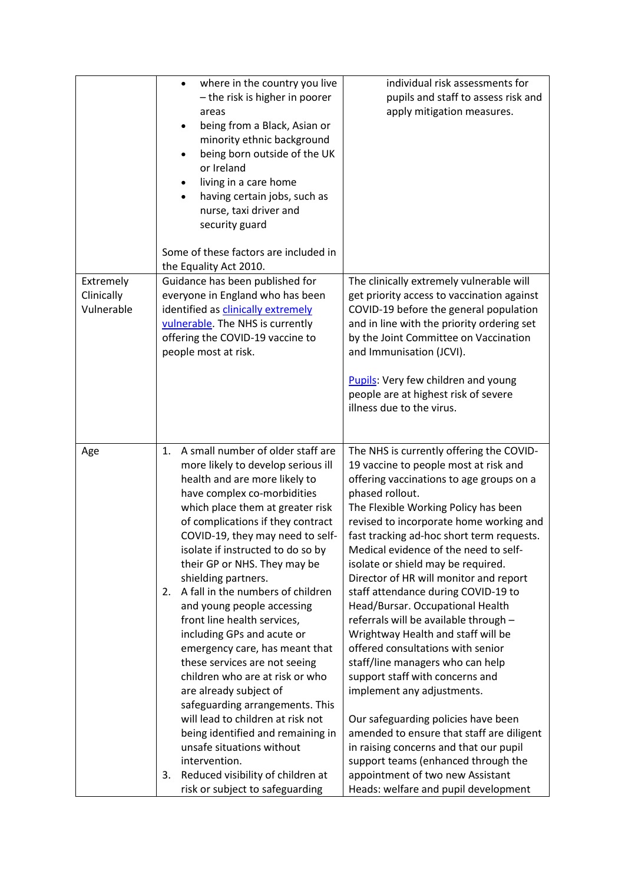|                                       | where in the country you live<br>- the risk is higher in poorer<br>areas<br>being from a Black, Asian or<br>minority ethnic background<br>being born outside of the UK<br>or Ireland<br>living in a care home<br>٠<br>having certain jobs, such as<br>nurse, taxi driver and<br>security guard<br>Some of these factors are included in<br>the Equality Act 2010.                                                                                                                                                                                                                                                                                                                                                                                                                                                                                                     | individual risk assessments for<br>pupils and staff to assess risk and<br>apply mitigation measures.                                                                                                                                                                                                                                                                                                                                                                                                                                                                                                                                                                                                                                                                                                                                                                                                                                                           |
|---------------------------------------|-----------------------------------------------------------------------------------------------------------------------------------------------------------------------------------------------------------------------------------------------------------------------------------------------------------------------------------------------------------------------------------------------------------------------------------------------------------------------------------------------------------------------------------------------------------------------------------------------------------------------------------------------------------------------------------------------------------------------------------------------------------------------------------------------------------------------------------------------------------------------|----------------------------------------------------------------------------------------------------------------------------------------------------------------------------------------------------------------------------------------------------------------------------------------------------------------------------------------------------------------------------------------------------------------------------------------------------------------------------------------------------------------------------------------------------------------------------------------------------------------------------------------------------------------------------------------------------------------------------------------------------------------------------------------------------------------------------------------------------------------------------------------------------------------------------------------------------------------|
| Extremely<br>Clinically<br>Vulnerable | Guidance has been published for<br>everyone in England who has been<br>identified as clinically extremely<br>vulnerable. The NHS is currently<br>offering the COVID-19 vaccine to<br>people most at risk.                                                                                                                                                                                                                                                                                                                                                                                                                                                                                                                                                                                                                                                             | The clinically extremely vulnerable will<br>get priority access to vaccination against<br>COVID-19 before the general population<br>and in line with the priority ordering set<br>by the Joint Committee on Vaccination<br>and Immunisation (JCVI).<br>Pupils: Very few children and young<br>people are at highest risk of severe<br>illness due to the virus.                                                                                                                                                                                                                                                                                                                                                                                                                                                                                                                                                                                                |
| Age                                   | A small number of older staff are<br>1.<br>more likely to develop serious ill<br>health and are more likely to<br>have complex co-morbidities<br>which place them at greater risk<br>of complications if they contract<br>COVID-19, they may need to self-<br>isolate if instructed to do so by<br>their GP or NHS. They may be<br>shielding partners.<br>A fall in the numbers of children<br>2.<br>and young people accessing<br>front line health services,<br>including GPs and acute or<br>emergency care, has meant that<br>these services are not seeing<br>children who are at risk or who<br>are already subject of<br>safeguarding arrangements. This<br>will lead to children at risk not<br>being identified and remaining in<br>unsafe situations without<br>intervention.<br>Reduced visibility of children at<br>3.<br>risk or subject to safeguarding | The NHS is currently offering the COVID-<br>19 vaccine to people most at risk and<br>offering vaccinations to age groups on a<br>phased rollout.<br>The Flexible Working Policy has been<br>revised to incorporate home working and<br>fast tracking ad-hoc short term requests.<br>Medical evidence of the need to self-<br>isolate or shield may be required.<br>Director of HR will monitor and report<br>staff attendance during COVID-19 to<br>Head/Bursar. Occupational Health<br>referrals will be available through -<br>Wrightway Health and staff will be<br>offered consultations with senior<br>staff/line managers who can help<br>support staff with concerns and<br>implement any adjustments.<br>Our safeguarding policies have been<br>amended to ensure that staff are diligent<br>in raising concerns and that our pupil<br>support teams (enhanced through the<br>appointment of two new Assistant<br>Heads: welfare and pupil development |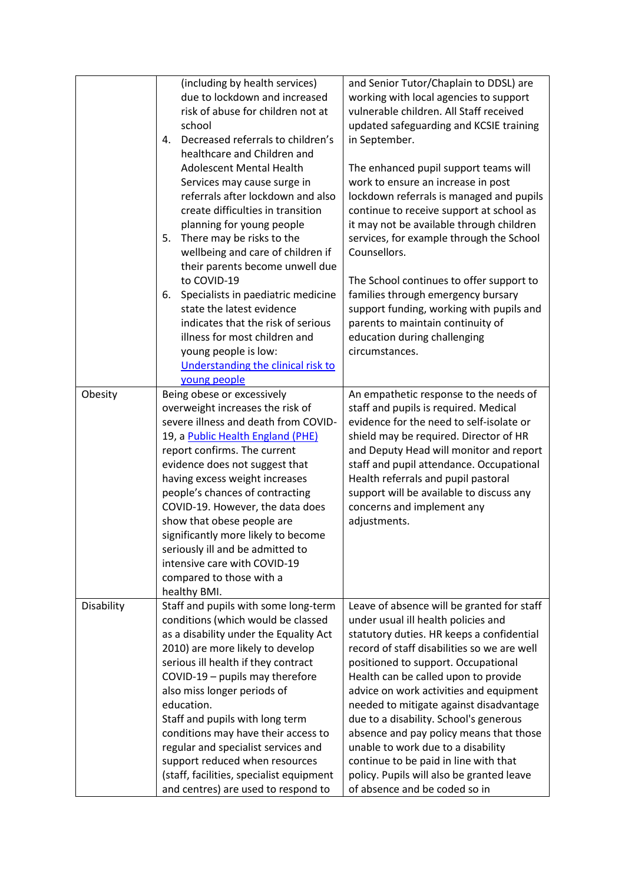|            | (including by health services)           | and Senior Tutor/Chaplain to DDSL) are      |
|------------|------------------------------------------|---------------------------------------------|
|            | due to lockdown and increased            | working with local agencies to support      |
|            | risk of abuse for children not at        | vulnerable children. All Staff received     |
|            | school                                   | updated safeguarding and KCSIE training     |
|            | Decreased referrals to children's<br>4.  | in September.                               |
|            | healthcare and Children and              |                                             |
|            | <b>Adolescent Mental Health</b>          | The enhanced pupil support teams will       |
|            | Services may cause surge in              | work to ensure an increase in post          |
|            | referrals after lockdown and also        | lockdown referrals is managed and pupils    |
|            | create difficulties in transition        | continue to receive support at school as    |
|            | planning for young people                | it may not be available through children    |
|            | 5.<br>There may be risks to the          | services, for example through the School    |
|            | wellbeing and care of children if        | Counsellors.                                |
|            | their parents become unwell due          |                                             |
|            | to COVID-19                              | The School continues to offer support to    |
|            | Specialists in paediatric medicine<br>6. | families through emergency bursary          |
|            | state the latest evidence                | support funding, working with pupils and    |
|            | indicates that the risk of serious       | parents to maintain continuity of           |
|            | illness for most children and            | education during challenging                |
|            | young people is low:                     | circumstances.                              |
|            | Understanding the clinical risk to       |                                             |
|            | young people                             |                                             |
| Obesity    | Being obese or excessively               | An empathetic response to the needs of      |
|            | overweight increases the risk of         | staff and pupils is required. Medical       |
|            | severe illness and death from COVID-     | evidence for the need to self-isolate or    |
|            | 19, a Public Health England (PHE)        | shield may be required. Director of HR      |
|            | report confirms. The current             | and Deputy Head will monitor and report     |
|            | evidence does not suggest that           | staff and pupil attendance. Occupational    |
|            | having excess weight increases           | Health referrals and pupil pastoral         |
|            | people's chances of contracting          | support will be available to discuss any    |
|            | COVID-19. However, the data does         | concerns and implement any                  |
|            | show that obese people are               | adjustments.                                |
|            | significantly more likely to become      |                                             |
|            | seriously ill and be admitted to         |                                             |
|            | intensive care with COVID-19             |                                             |
|            | compared to those with a                 |                                             |
|            | healthy BMI.                             |                                             |
| Disability | Staff and pupils with some long-term     | Leave of absence will be granted for staff  |
|            | conditions (which would be classed       | under usual ill health policies and         |
|            | as a disability under the Equality Act   | statutory duties. HR keeps a confidential   |
|            | 2010) are more likely to develop         | record of staff disabilities so we are well |
|            | serious ill health if they contract      | positioned to support. Occupational         |
|            | COVID-19 - pupils may therefore          | Health can be called upon to provide        |
|            | also miss longer periods of              | advice on work activities and equipment     |
|            | education.                               | needed to mitigate against disadvantage     |
|            | Staff and pupils with long term          | due to a disability. School's generous      |
|            | conditions may have their access to      | absence and pay policy means that those     |
|            | regular and specialist services and      | unable to work due to a disability          |
|            | support reduced when resources           | continue to be paid in line with that       |
|            | (staff, facilities, specialist equipment | policy. Pupils will also be granted leave   |
|            | and centres) are used to respond to      | of absence and be coded so in               |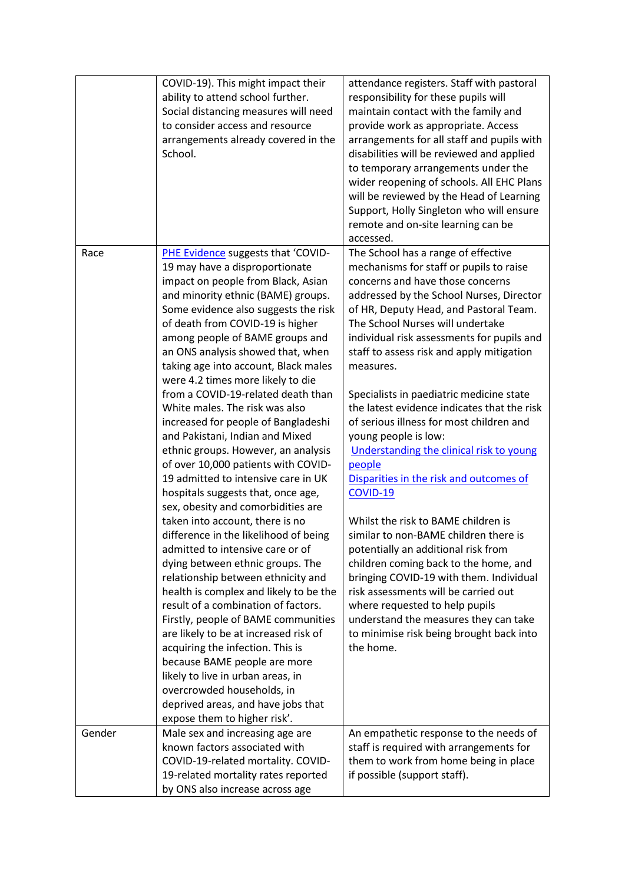|        | COVID-19). This might impact their<br>ability to attend school further.<br>Social distancing measures will need<br>to consider access and resource<br>arrangements already covered in the<br>School.                                                                                                                                                                                                                                                                                                                                                                                                                                                                                                                                                                                                                                                                                                                                                                                                                                                                                                                                                                                                                                                                                                         | attendance registers. Staff with pastoral<br>responsibility for these pupils will<br>maintain contact with the family and<br>provide work as appropriate. Access<br>arrangements for all staff and pupils with<br>disabilities will be reviewed and applied<br>to temporary arrangements under the<br>wider reopening of schools. All EHC Plans<br>will be reviewed by the Head of Learning<br>Support, Holly Singleton who will ensure<br>remote and on-site learning can be<br>accessed.                                                                                                                                                                                                                                                                                                                                                                                                                                                                                                                              |
|--------|--------------------------------------------------------------------------------------------------------------------------------------------------------------------------------------------------------------------------------------------------------------------------------------------------------------------------------------------------------------------------------------------------------------------------------------------------------------------------------------------------------------------------------------------------------------------------------------------------------------------------------------------------------------------------------------------------------------------------------------------------------------------------------------------------------------------------------------------------------------------------------------------------------------------------------------------------------------------------------------------------------------------------------------------------------------------------------------------------------------------------------------------------------------------------------------------------------------------------------------------------------------------------------------------------------------|-------------------------------------------------------------------------------------------------------------------------------------------------------------------------------------------------------------------------------------------------------------------------------------------------------------------------------------------------------------------------------------------------------------------------------------------------------------------------------------------------------------------------------------------------------------------------------------------------------------------------------------------------------------------------------------------------------------------------------------------------------------------------------------------------------------------------------------------------------------------------------------------------------------------------------------------------------------------------------------------------------------------------|
| Race   | PHE Evidence suggests that 'COVID-<br>19 may have a disproportionate<br>impact on people from Black, Asian<br>and minority ethnic (BAME) groups.<br>Some evidence also suggests the risk<br>of death from COVID-19 is higher<br>among people of BAME groups and<br>an ONS analysis showed that, when<br>taking age into account, Black males<br>were 4.2 times more likely to die<br>from a COVID-19-related death than<br>White males. The risk was also<br>increased for people of Bangladeshi<br>and Pakistani, Indian and Mixed<br>ethnic groups. However, an analysis<br>of over 10,000 patients with COVID-<br>19 admitted to intensive care in UK<br>hospitals suggests that, once age,<br>sex, obesity and comorbidities are<br>taken into account, there is no<br>difference in the likelihood of being<br>admitted to intensive care or of<br>dying between ethnic groups. The<br>relationship between ethnicity and<br>health is complex and likely to be the<br>result of a combination of factors.<br>Firstly, people of BAME communities<br>are likely to be at increased risk of<br>acquiring the infection. This is<br>because BAME people are more<br>likely to live in urban areas, in<br>overcrowded households, in<br>deprived areas, and have jobs that<br>expose them to higher risk'. | The School has a range of effective<br>mechanisms for staff or pupils to raise<br>concerns and have those concerns<br>addressed by the School Nurses, Director<br>of HR, Deputy Head, and Pastoral Team.<br>The School Nurses will undertake<br>individual risk assessments for pupils and<br>staff to assess risk and apply mitigation<br>measures.<br>Specialists in paediatric medicine state<br>the latest evidence indicates that the risk<br>of serious illness for most children and<br>young people is low:<br>Understanding the clinical risk to young<br>people<br>Disparities in the risk and outcomes of<br>COVID-19<br>Whilst the risk to BAME children is<br>similar to non-BAME children there is<br>potentially an additional risk from<br>children coming back to the home, and<br>bringing COVID-19 with them. Individual<br>risk assessments will be carried out<br>where requested to help pupils<br>understand the measures they can take<br>to minimise risk being brought back into<br>the home. |
| Gender | Male sex and increasing age are                                                                                                                                                                                                                                                                                                                                                                                                                                                                                                                                                                                                                                                                                                                                                                                                                                                                                                                                                                                                                                                                                                                                                                                                                                                                              | An empathetic response to the needs of                                                                                                                                                                                                                                                                                                                                                                                                                                                                                                                                                                                                                                                                                                                                                                                                                                                                                                                                                                                  |
|        | known factors associated with<br>COVID-19-related mortality. COVID-<br>19-related mortality rates reported<br>by ONS also increase across age                                                                                                                                                                                                                                                                                                                                                                                                                                                                                                                                                                                                                                                                                                                                                                                                                                                                                                                                                                                                                                                                                                                                                                | staff is required with arrangements for<br>them to work from home being in place<br>if possible (support staff).                                                                                                                                                                                                                                                                                                                                                                                                                                                                                                                                                                                                                                                                                                                                                                                                                                                                                                        |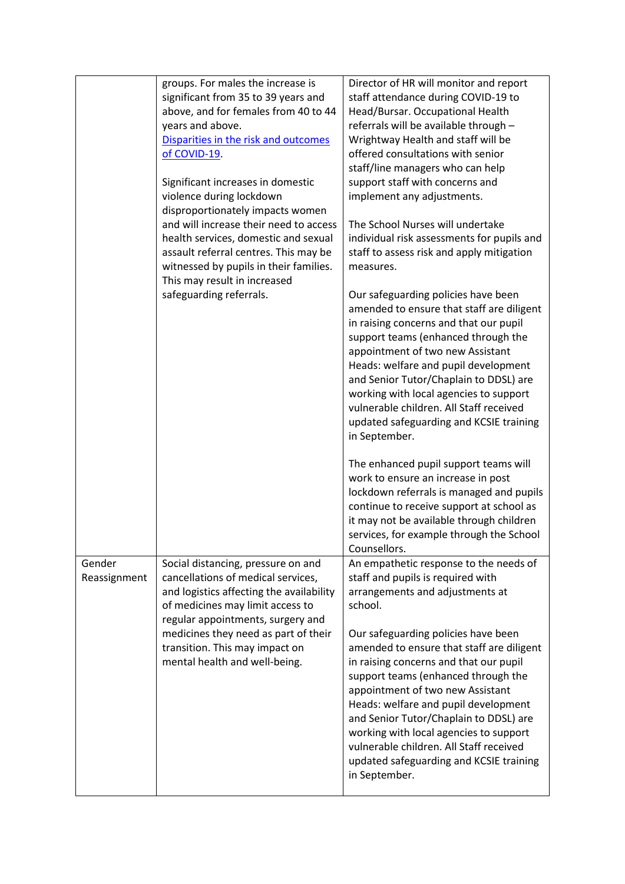|                        | groups. For males the increase is<br>significant from 35 to 39 years and<br>above, and for females from 40 to 44<br>years and above.<br>Disparities in the risk and outcomes<br>of COVID-19.<br>Significant increases in domestic<br>violence during lockdown<br>disproportionately impacts women<br>and will increase their need to access | Director of HR will monitor and report<br>staff attendance during COVID-19 to<br>Head/Bursar. Occupational Health<br>referrals will be available through -<br>Wrightway Health and staff will be<br>offered consultations with senior<br>staff/line managers who can help<br>support staff with concerns and<br>implement any adjustments.<br>The School Nurses will undertake                                                           |
|------------------------|---------------------------------------------------------------------------------------------------------------------------------------------------------------------------------------------------------------------------------------------------------------------------------------------------------------------------------------------|------------------------------------------------------------------------------------------------------------------------------------------------------------------------------------------------------------------------------------------------------------------------------------------------------------------------------------------------------------------------------------------------------------------------------------------|
|                        | health services, domestic and sexual<br>assault referral centres. This may be<br>witnessed by pupils in their families.<br>This may result in increased                                                                                                                                                                                     | individual risk assessments for pupils and<br>staff to assess risk and apply mitigation<br>measures.                                                                                                                                                                                                                                                                                                                                     |
|                        | safeguarding referrals.                                                                                                                                                                                                                                                                                                                     | Our safeguarding policies have been<br>amended to ensure that staff are diligent<br>in raising concerns and that our pupil<br>support teams (enhanced through the<br>appointment of two new Assistant<br>Heads: welfare and pupil development<br>and Senior Tutor/Chaplain to DDSL) are<br>working with local agencies to support<br>vulnerable children. All Staff received<br>updated safeguarding and KCSIE training<br>in September. |
|                        |                                                                                                                                                                                                                                                                                                                                             | The enhanced pupil support teams will<br>work to ensure an increase in post<br>lockdown referrals is managed and pupils<br>continue to receive support at school as<br>it may not be available through children<br>services, for example through the School<br>Counsellors.                                                                                                                                                              |
| Gender<br>Reassignment | Social distancing, pressure on and<br>cancellations of medical services,<br>and logistics affecting the availability<br>of medicines may limit access to<br>regular appointments, surgery and                                                                                                                                               | An empathetic response to the needs of<br>staff and pupils is required with<br>arrangements and adjustments at<br>school.                                                                                                                                                                                                                                                                                                                |
|                        | medicines they need as part of their<br>transition. This may impact on<br>mental health and well-being.                                                                                                                                                                                                                                     | Our safeguarding policies have been<br>amended to ensure that staff are diligent<br>in raising concerns and that our pupil<br>support teams (enhanced through the<br>appointment of two new Assistant<br>Heads: welfare and pupil development<br>and Senior Tutor/Chaplain to DDSL) are<br>working with local agencies to support<br>vulnerable children. All Staff received<br>updated safeguarding and KCSIE training<br>in September. |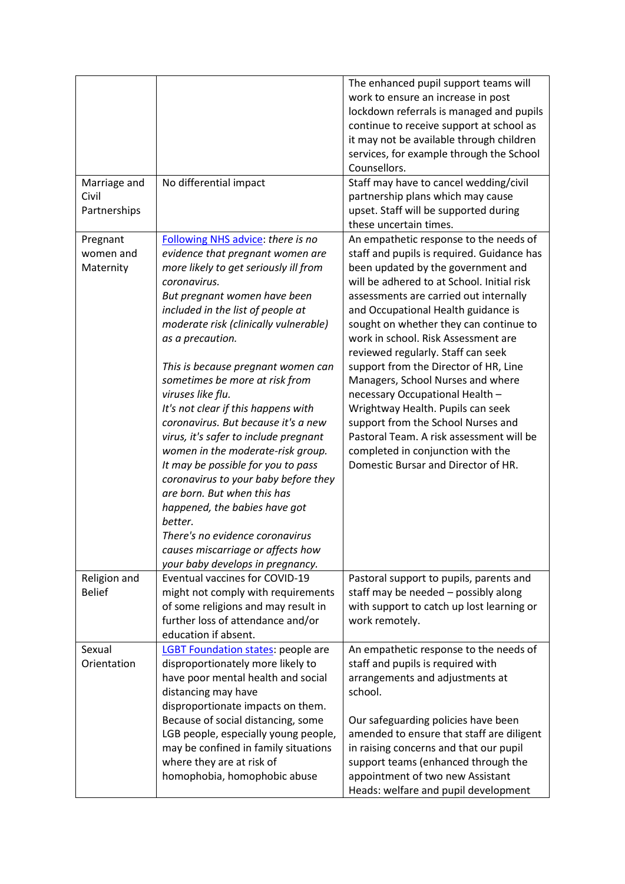| Marriage and                       | No differential impact                                                                                                                                                                                                                                                                                                                                                                                                                                                                                                                                                                                                                                                                                                                                                                         | The enhanced pupil support teams will<br>work to ensure an increase in post<br>lockdown referrals is managed and pupils<br>continue to receive support at school as<br>it may not be available through children<br>services, for example through the School<br>Counsellors.<br>Staff may have to cancel wedding/civil                                                                                                                                                                                                                                                                                                                                                                                |
|------------------------------------|------------------------------------------------------------------------------------------------------------------------------------------------------------------------------------------------------------------------------------------------------------------------------------------------------------------------------------------------------------------------------------------------------------------------------------------------------------------------------------------------------------------------------------------------------------------------------------------------------------------------------------------------------------------------------------------------------------------------------------------------------------------------------------------------|------------------------------------------------------------------------------------------------------------------------------------------------------------------------------------------------------------------------------------------------------------------------------------------------------------------------------------------------------------------------------------------------------------------------------------------------------------------------------------------------------------------------------------------------------------------------------------------------------------------------------------------------------------------------------------------------------|
| Civil<br>Partnerships              |                                                                                                                                                                                                                                                                                                                                                                                                                                                                                                                                                                                                                                                                                                                                                                                                | partnership plans which may cause<br>upset. Staff will be supported during<br>these uncertain times.                                                                                                                                                                                                                                                                                                                                                                                                                                                                                                                                                                                                 |
| Pregnant<br>women and<br>Maternity | Following NHS advice: there is no<br>evidence that pregnant women are<br>more likely to get seriously ill from<br>coronavirus.<br>But pregnant women have been<br>included in the list of people at<br>moderate risk (clinically vulnerable)<br>as a precaution.<br>This is because pregnant women can<br>sometimes be more at risk from<br>viruses like flu.<br>It's not clear if this happens with<br>coronavirus. But because it's a new<br>virus, it's safer to include pregnant<br>women in the moderate-risk group.<br>It may be possible for you to pass<br>coronavirus to your baby before they<br>are born. But when this has<br>happened, the babies have got<br>better.<br>There's no evidence coronavirus<br>causes miscarriage or affects how<br>your baby develops in pregnancy. | An empathetic response to the needs of<br>staff and pupils is required. Guidance has<br>been updated by the government and<br>will be adhered to at School. Initial risk<br>assessments are carried out internally<br>and Occupational Health guidance is<br>sought on whether they can continue to<br>work in school. Risk Assessment are<br>reviewed regularly. Staff can seek<br>support from the Director of HR, Line<br>Managers, School Nurses and where<br>necessary Occupational Health -<br>Wrightway Health. Pupils can seek<br>support from the School Nurses and<br>Pastoral Team. A risk assessment will be<br>completed in conjunction with the<br>Domestic Bursar and Director of HR. |
| Religion and<br><b>Belief</b>      | Eventual vaccines for COVID-19<br>might not comply with requirements<br>of some religions and may result in<br>further loss of attendance and/or<br>education if absent.                                                                                                                                                                                                                                                                                                                                                                                                                                                                                                                                                                                                                       | Pastoral support to pupils, parents and<br>staff may be needed - possibly along<br>with support to catch up lost learning or<br>work remotely.                                                                                                                                                                                                                                                                                                                                                                                                                                                                                                                                                       |
| Sexual<br>Orientation              | <b>LGBT Foundation states: people are</b><br>disproportionately more likely to<br>have poor mental health and social<br>distancing may have<br>disproportionate impacts on them.<br>Because of social distancing, some<br>LGB people, especially young people,<br>may be confined in family situations<br>where they are at risk of<br>homophobia, homophobic abuse                                                                                                                                                                                                                                                                                                                                                                                                                            | An empathetic response to the needs of<br>staff and pupils is required with<br>arrangements and adjustments at<br>school.<br>Our safeguarding policies have been<br>amended to ensure that staff are diligent<br>in raising concerns and that our pupil<br>support teams (enhanced through the<br>appointment of two new Assistant<br>Heads: welfare and pupil development                                                                                                                                                                                                                                                                                                                           |